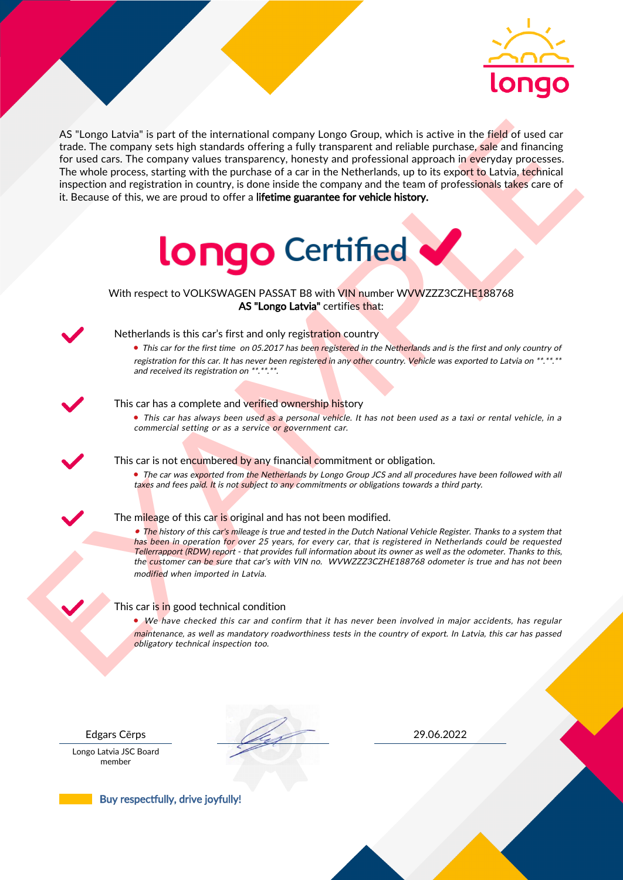

As the nearest of the intermediate computer long of coupling the sight in the field of used car<br>for the field of used car for the compute substitution of the computer of a car in the Netherlands, up to its coord to latter AS "Longo Latvia" is part of the international company Longo Group, which is active in the field of used car trade. The company sets high standards offering a fully transparent and reliable purchase, sale and financing for used cars. The company values transparency, honesty and professional approach in everyday processes. The whole process, starting with the purchase of a car in the Netherlands, up to its export to Latvia, technical inspection and registration in country, is done inside the company and the team of professionals takes care of it. Because of this, we are proud to offer a lifetime guarantee for vehicle history.



With respect to VOLKSWAGEN PASSAT B8 with VIN number WVWZZZ3CZHE188768 AS "Longo Latvia" certifies that:



## Netherlands is this car's first and only registration country

• This car for the first time on 05.2017 has been registered in the Netherlands and is the first and only country of registration for this car. It has never been registered in any other country. Vehicle was exported to Latvia on \*\*.\*\*.\*\* and received its registration on \*\*.\*\*.\*\*.

## This car has a complete and verified ownership history

• This car has always been used as a personal vehicle. It has not been used as a taxi or rental vehicle, in a commercial setting or as a service or government car.

This car is not encumbered by any financial commitment or obligation.

• The car was exported from the Netherlands by Longo Group JCS and all procedures have been followed with all taxes and fees paid. It is not subject to any commitments or obligations towards a third party.

### The mileage of this car is original and has not been modified.

• The history of this car's mileage is true and tested in the Dutch National Vehicle Register. Thanks to a system that has been in operation for over 25 years, for every car, that is registered in Netherlands could be requested Tellerrapport (RDW) report - that provides full information about its owner as well as the odometer. Thanks to this, the customer can be sure that car's with VIN no. WVWZZZ3CZHE188768 odometer is true and has not been modified when imported in Latvia.

### This car is in good technical condition

• We have checked this car and confirm that it has never been involved in major accidents, has regular maintenance, as well as mandatory roadworthiness tests in the country of export. In Latvia, this car has passed obligatory technical inspection too.

Longo Latvia JSC Board member

Edgars Cērps 29.06.2022

Buy respectfully, drive joyfully!